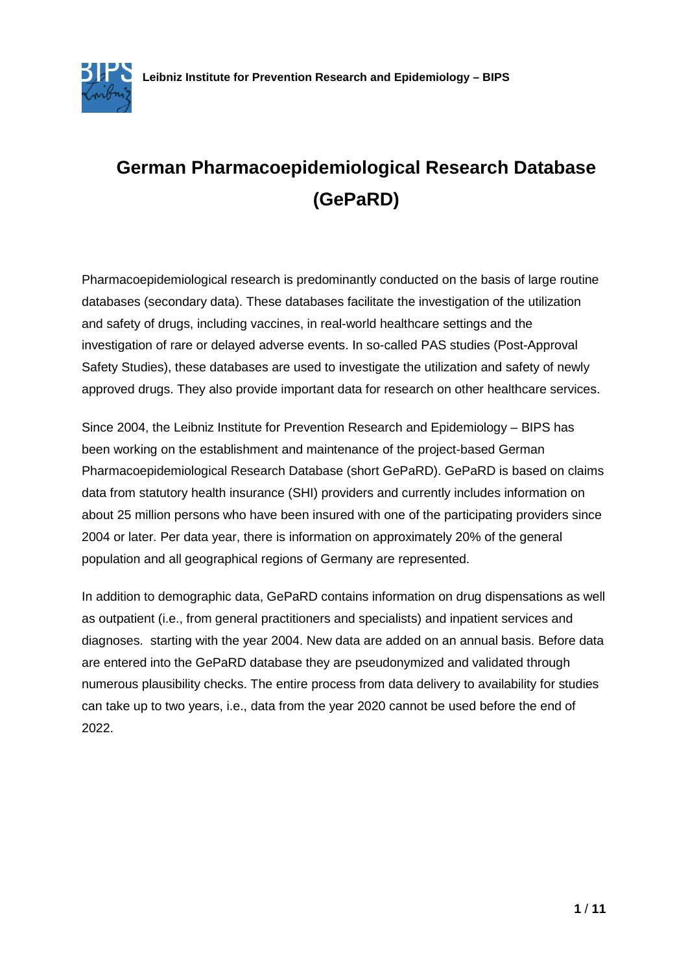

# **German Pharmacoepidemiological Research Database (GePaRD)**

Pharmacoepidemiological research is predominantly conducted on the basis of large routine databases (secondary data). These databases facilitate the investigation of the utilization and safety of drugs, including vaccines, in real-world healthcare settings and the investigation of rare or delayed adverse events. In so-called PAS studies (Post-Approval Safety Studies), these databases are used to investigate the utilization and safety of newly approved drugs. They also provide important data for research on other healthcare services.

Since 2004, the Leibniz Institute for Prevention Research and Epidemiology – BIPS has been working on the establishment and maintenance of the project-based German Pharmacoepidemiological Research Database (short GePaRD). GePaRD is based on claims data from statutory health insurance (SHI) providers and currently includes information on about 25 million persons who have been insured with one of the participating providers since 2004 or later. Per data year, there is information on approximately 20% of the general population and all geographical regions of Germany are represented.

In addition to demographic data, GePaRD contains information on drug dispensations as well as outpatient (i.e., from general practitioners and specialists) and inpatient services and diagnoses. starting with the year 2004. New data are added on an annual basis. Before data are entered into the GePaRD database they are pseudonymized and validated through numerous plausibility checks. The entire process from data delivery to availability for studies can take up to two years, i.e., data from the year 2020 cannot be used before the end of 2022.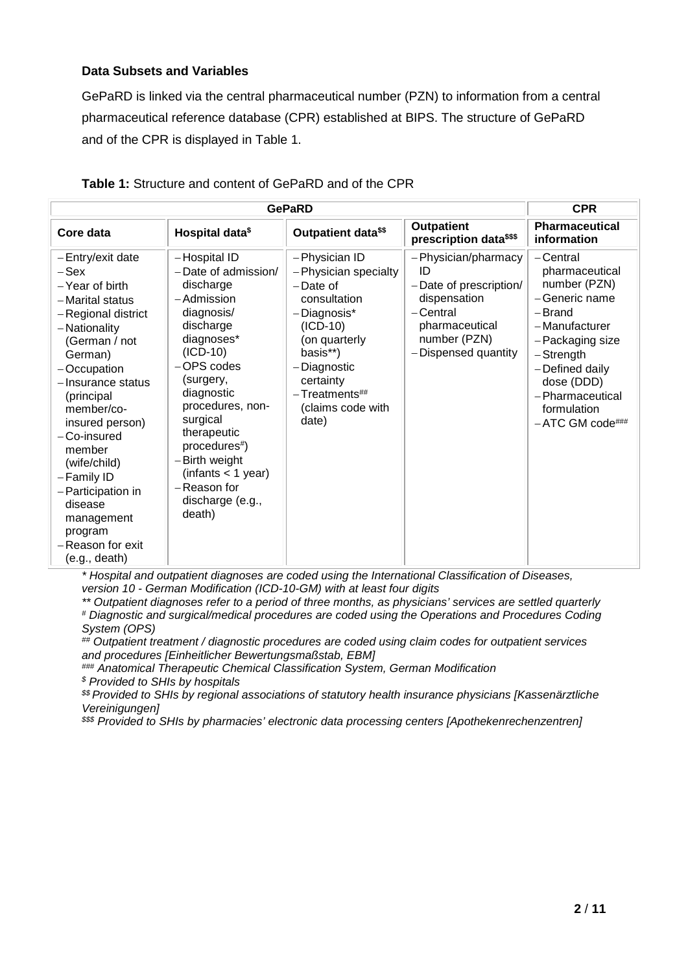#### **Data Subsets and Variables**

GePaRD is linked via the central pharmaceutical number (PZN) to information from a central pharmaceutical reference database (CPR) established at BIPS. The structure of GePaRD and of the CPR is displayed in Table 1.

| <b>GePaRD</b>                                                                                                                                                                                                                                                                                                                                                                     |                                                                                                                                                                                                                                                                                                                     |                                                                                                                                                                                                           |                                                                                                                                          | <b>CPR</b>                                                                                                                                                                                                                |
|-----------------------------------------------------------------------------------------------------------------------------------------------------------------------------------------------------------------------------------------------------------------------------------------------------------------------------------------------------------------------------------|---------------------------------------------------------------------------------------------------------------------------------------------------------------------------------------------------------------------------------------------------------------------------------------------------------------------|-----------------------------------------------------------------------------------------------------------------------------------------------------------------------------------------------------------|------------------------------------------------------------------------------------------------------------------------------------------|---------------------------------------------------------------------------------------------------------------------------------------------------------------------------------------------------------------------------|
| Core data                                                                                                                                                                                                                                                                                                                                                                         | Hospital data <sup>\$</sup>                                                                                                                                                                                                                                                                                         | Outpatient data <sup>\$\$</sup>                                                                                                                                                                           | Outpatient<br>prescription data <sup>\$\$\$</sup>                                                                                        | Pharmaceutical<br>information                                                                                                                                                                                             |
| -Entry/exit date<br>$-$ Sex<br>-Year of birth<br>- Marital status<br>-Regional district<br>- Nationality<br>(German / not<br>German)<br>-Occupation<br>- Insurance status<br>(principal<br>member/co-<br>insured person)<br>$-C$ o-insured<br>member<br>(wife/child)<br>-Family ID<br>- Participation in<br>disease<br>management<br>program<br>-Reason for exit<br>(e.g., death) | -Hospital ID<br>$-Date$ of admission/<br>discharge<br>-Admission<br>diagnosis/<br>discharge<br>diagnoses*<br>$(ICD-10)$<br>-OPS codes<br>(surgery,<br>diagnostic<br>procedures, non-<br>surgical<br>therapeutic<br>procedures#)<br>-Birth weight<br>(infants < 1 year)<br>-Reason for<br>discharge (e.g.,<br>death) | -Physician ID<br>-Physician specialty<br>$-Date$ of<br>consultation<br>-Diagnosis*<br>(ICD-10)<br>(on quarterly<br>basis**)<br>-Diagnostic<br>certainty<br>$-$ Treatments##<br>(claims code with<br>date) | -Physician/pharmacy<br>ID<br>-Date of prescription/<br>dispensation<br>-Central<br>pharmaceutical<br>number (PZN)<br>-Dispensed quantity | – Central<br>pharmaceutical<br>number (PZN)<br>-Generic name<br>-Brand<br>- Manufacturer<br>-Packaging size<br>$-$ Strength<br>-Defined daily<br>dose (DDD)<br>- Pharmaceutical<br>formulation<br>$-$ ATC GM code $\#$ ## |

### **Table 1:** Structure and content of GePaRD and of the CPR

*\* Hospital and outpatient diagnoses are coded using the International Classification of Diseases, version 10 - German Modification (ICD-10-GM) with at least four digits*

*\*\* Outpatient diagnoses refer to a period of three months, as physicians' services are settled quarterly # Diagnostic and surgical/medical procedures are coded using the Operations and Procedures Coding System (OPS)*

*## Outpatient treatment / diagnostic procedures are coded using claim codes for outpatient services and procedures [Einheitlicher Bewertungsmaßstab, EBM]*

*### Anatomical Therapeutic Chemical Classification System, German Modification \$ Provided to SHIs by hospitals*

*\$\$ Provided to SHIs by regional associations of statutory health insurance physicians [Kassenärztliche Vereinigungen]*

*\$\$\$ Provided to SHIs by pharmacies' electronic data processing centers [Apothekenrechenzentren]*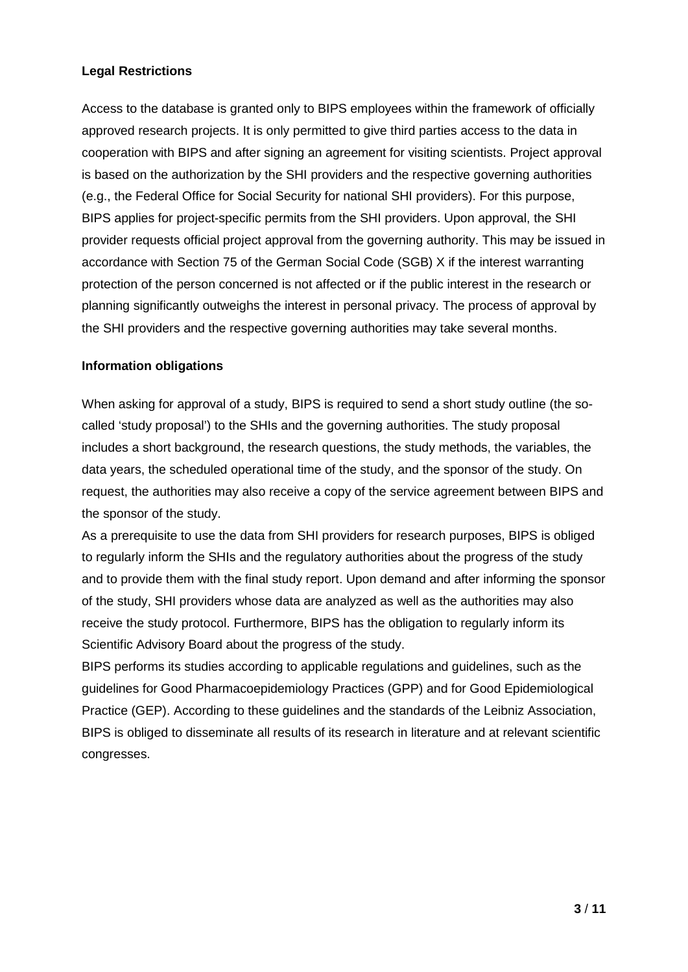## **Legal Restrictions**

Access to the database is granted only to BIPS employees within the framework of officially approved research projects. It is only permitted to give third parties access to the data in cooperation with BIPS and after signing an agreement for visiting scientists. Project approval is based on the authorization by the SHI providers and the respective governing authorities (e.g., the Federal Office for Social Security for national SHI providers). For this purpose, BIPS applies for project-specific permits from the SHI providers. Upon approval, the SHI provider requests official project approval from the governing authority. This may be issued in accordance with Section 75 of the German Social Code (SGB) X if the interest warranting protection of the person concerned is not affected or if the public interest in the research or planning significantly outweighs the interest in personal privacy. The process of approval by the SHI providers and the respective governing authorities may take several months.

## **Information obligations**

When asking for approval of a study, BIPS is required to send a short study outline (the socalled 'study proposal') to the SHIs and the governing authorities. The study proposal includes a short background, the research questions, the study methods, the variables, the data years, the scheduled operational time of the study, and the sponsor of the study. On request, the authorities may also receive a copy of the service agreement between BIPS and the sponsor of the study.

As a prerequisite to use the data from SHI providers for research purposes, BIPS is obliged to regularly inform the SHIs and the regulatory authorities about the progress of the study and to provide them with the final study report. Upon demand and after informing the sponsor of the study, SHI providers whose data are analyzed as well as the authorities may also receive the study protocol. Furthermore, BIPS has the obligation to regularly inform its Scientific Advisory Board about the progress of the study.

BIPS performs its studies according to applicable regulations and guidelines, such as the guidelines for Good Pharmacoepidemiology Practices (GPP) and for Good Epidemiological Practice (GEP). According to these guidelines and the standards of the Leibniz Association, BIPS is obliged to disseminate all results of its research in literature and at relevant scientific congresses.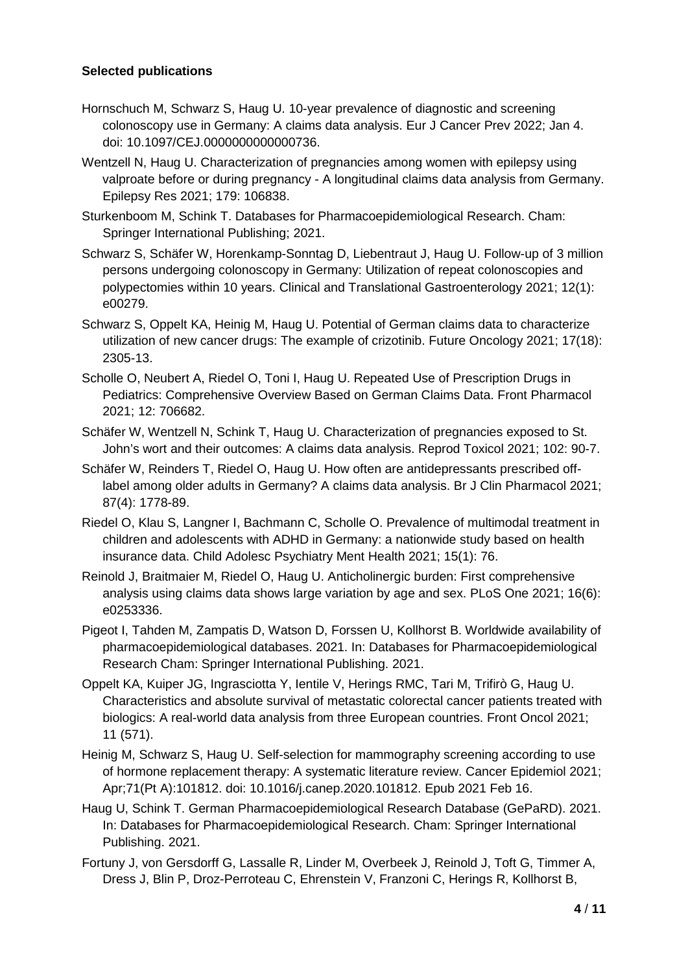## **Selected publications**

- Hornschuch M, Schwarz S, Haug U. 10-year prevalence of diagnostic and screening colonoscopy use in Germany: A claims data analysis. Eur J Cancer Prev 2022; Jan 4. doi: 10.1097/CEJ.0000000000000736.
- Wentzell N, Haug U. Characterization of pregnancies among women with epilepsy using valproate before or during pregnancy - A longitudinal claims data analysis from Germany. Epilepsy Res 2021; 179: 106838.
- Sturkenboom M, Schink T. Databases for Pharmacoepidemiological Research. Cham: Springer International Publishing; 2021.
- Schwarz S, Schäfer W, Horenkamp-Sonntag D, Liebentraut J, Haug U. Follow-up of 3 million persons undergoing colonoscopy in Germany: Utilization of repeat colonoscopies and polypectomies within 10 years. Clinical and Translational Gastroenterology 2021; 12(1): e00279.
- Schwarz S, Oppelt KA, Heinig M, Haug U. Potential of German claims data to characterize utilization of new cancer drugs: The example of crizotinib. Future Oncology 2021; 17(18): 2305-13.
- Scholle O, Neubert A, Riedel O, Toni I, Haug U. Repeated Use of Prescription Drugs in Pediatrics: Comprehensive Overview Based on German Claims Data. Front Pharmacol 2021; 12: 706682.
- Schäfer W, Wentzell N, Schink T, Haug U. Characterization of pregnancies exposed to St. John's wort and their outcomes: A claims data analysis. Reprod Toxicol 2021; 102: 90-7.
- Schäfer W, Reinders T, Riedel O, Haug U. How often are antidepressants prescribed offlabel among older adults in Germany? A claims data analysis. Br J Clin Pharmacol 2021; 87(4): 1778-89.
- Riedel O, Klau S, Langner I, Bachmann C, Scholle O. Prevalence of multimodal treatment in children and adolescents with ADHD in Germany: a nationwide study based on health insurance data. Child Adolesc Psychiatry Ment Health 2021; 15(1): 76.
- Reinold J, Braitmaier M, Riedel O, Haug U. Anticholinergic burden: First comprehensive analysis using claims data shows large variation by age and sex. PLoS One 2021; 16(6): e0253336.
- Pigeot I, Tahden M, Zampatis D, Watson D, Forssen U, Kollhorst B. Worldwide availability of pharmacoepidemiological databases. 2021. In: Databases for Pharmacoepidemiological Research Cham: Springer International Publishing. 2021.
- Oppelt KA, Kuiper JG, Ingrasciotta Y, Ientile V, Herings RMC, Tari M, Trifirò G, Haug U. Characteristics and absolute survival of metastatic colorectal cancer patients treated with biologics: A real-world data analysis from three European countries. Front Oncol 2021; 11 (571).
- Heinig M, Schwarz S, Haug U. Self-selection for mammography screening according to use of hormone replacement therapy: A systematic literature review. Cancer Epidemiol 2021; Apr;71(Pt A):101812. doi: 10.1016/j.canep.2020.101812. Epub 2021 Feb 16.
- Haug U, Schink T. German Pharmacoepidemiological Research Database (GePaRD). 2021. In: Databases for Pharmacoepidemiological Research. Cham: Springer International Publishing. 2021.
- Fortuny J, von Gersdorff G, Lassalle R, Linder M, Overbeek J, Reinold J, Toft G, Timmer A, Dress J, Blin P, Droz-Perroteau C, Ehrenstein V, Franzoni C, Herings R, Kollhorst B,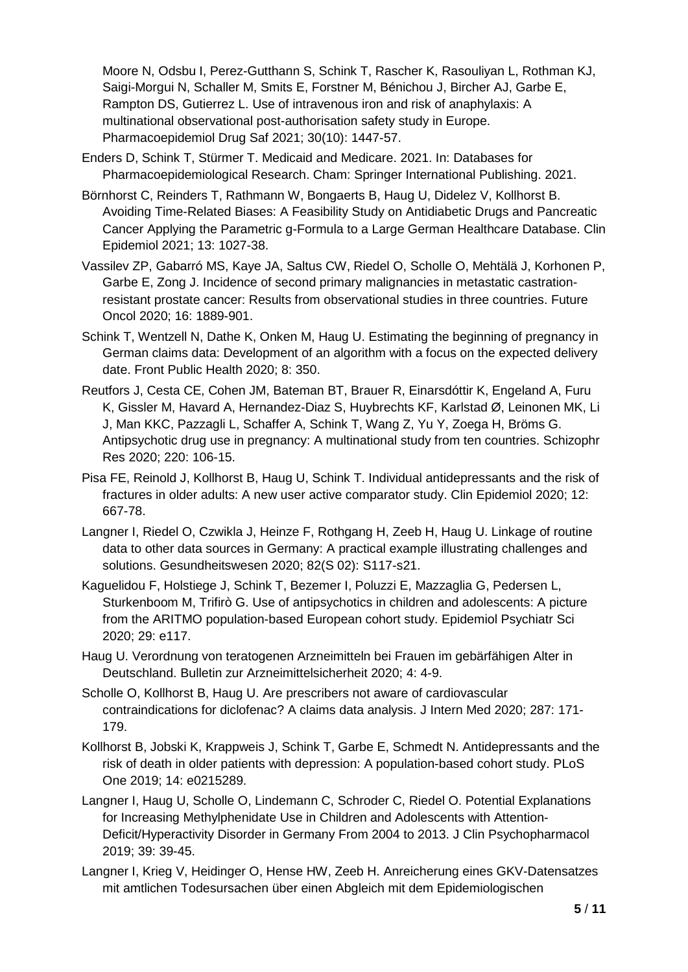Moore N, Odsbu I, Perez-Gutthann S, Schink T, Rascher K, Rasouliyan L, Rothman KJ, Saigi-Morgui N, Schaller M, Smits E, Forstner M, Bénichou J, Bircher AJ, Garbe E, Rampton DS, Gutierrez L. Use of intravenous iron and risk of anaphylaxis: A multinational observational post-authorisation safety study in Europe. Pharmacoepidemiol Drug Saf 2021; 30(10): 1447-57.

- Enders D, Schink T, Stürmer T. Medicaid and Medicare. 2021. In: Databases for Pharmacoepidemiological Research. Cham: Springer International Publishing. 2021.
- Börnhorst C, Reinders T, Rathmann W, Bongaerts B, Haug U, Didelez V, Kollhorst B. Avoiding Time-Related Biases: A Feasibility Study on Antidiabetic Drugs and Pancreatic Cancer Applying the Parametric g-Formula to a Large German Healthcare Database. Clin Epidemiol 2021; 13: 1027-38.
- Vassilev ZP, Gabarró MS, Kaye JA, Saltus CW, Riedel O, Scholle O, Mehtälä J, Korhonen P, Garbe E, Zong J. Incidence of second primary malignancies in metastatic castrationresistant prostate cancer: Results from observational studies in three countries. Future Oncol 2020; 16: 1889-901.
- Schink T, Wentzell N, Dathe K, Onken M, Haug U. Estimating the beginning of pregnancy in German claims data: Development of an algorithm with a focus on the expected delivery date. Front Public Health 2020; 8: 350.
- Reutfors J, Cesta CE, Cohen JM, Bateman BT, Brauer R, Einarsdóttir K, Engeland A, Furu K, Gissler M, Havard A, Hernandez-Diaz S, Huybrechts KF, Karlstad Ø, Leinonen MK, Li J, Man KKC, Pazzagli L, Schaffer A, Schink T, Wang Z, Yu Y, Zoega H, Bröms G. Antipsychotic drug use in pregnancy: A multinational study from ten countries. Schizophr Res 2020; 220: 106-15.
- Pisa FE, Reinold J, Kollhorst B, Haug U, Schink T. Individual antidepressants and the risk of fractures in older adults: A new user active comparator study. Clin Epidemiol 2020; 12: 667-78.
- Langner I, Riedel O, Czwikla J, Heinze F, Rothgang H, Zeeb H, Haug U. Linkage of routine data to other data sources in Germany: A practical example illustrating challenges and solutions. Gesundheitswesen 2020; 82(S 02): S117-s21.
- Kaguelidou F, Holstiege J, Schink T, Bezemer I, Poluzzi E, Mazzaglia G, Pedersen L, Sturkenboom M, Trifirò G. Use of antipsychotics in children and adolescents: A picture from the ARITMO population-based European cohort study. Epidemiol Psychiatr Sci 2020; 29: e117.
- Haug U. Verordnung von teratogenen Arzneimitteln bei Frauen im gebärfähigen Alter in Deutschland. Bulletin zur Arzneimittelsicherheit 2020; 4: 4-9.
- Scholle O, Kollhorst B, Haug U. Are prescribers not aware of cardiovascular contraindications for diclofenac? A claims data analysis. J Intern Med 2020; 287: 171- 179.
- Kollhorst B, Jobski K, Krappweis J, Schink T, Garbe E, Schmedt N. Antidepressants and the risk of death in older patients with depression: A population-based cohort study. PLoS One 2019; 14: e0215289.
- Langner I, Haug U, Scholle O, Lindemann C, Schroder C, Riedel O. Potential Explanations for Increasing Methylphenidate Use in Children and Adolescents with Attention-Deficit/Hyperactivity Disorder in Germany From 2004 to 2013. J Clin Psychopharmacol 2019; 39: 39-45.
- Langner I, Krieg V, Heidinger O, Hense HW, Zeeb H. Anreicherung eines GKV-Datensatzes mit amtlichen Todesursachen über einen Abgleich mit dem Epidemiologischen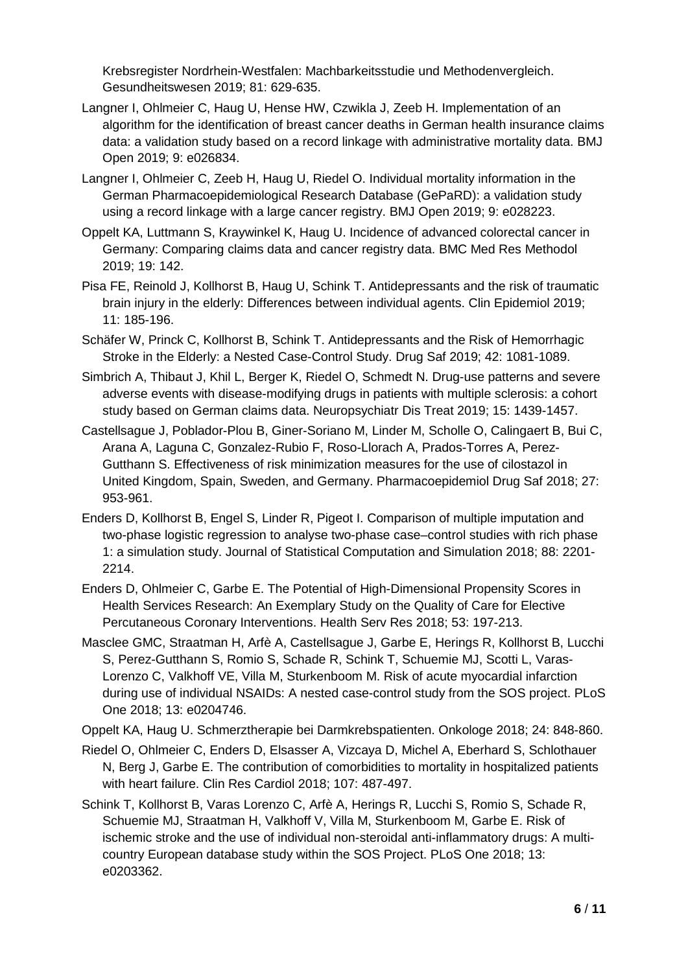Krebsregister Nordrhein-Westfalen: Machbarkeitsstudie und Methodenvergleich. Gesundheitswesen 2019; 81: 629-635.

- Langner I, Ohlmeier C, Haug U, Hense HW, Czwikla J, Zeeb H. Implementation of an algorithm for the identification of breast cancer deaths in German health insurance claims data: a validation study based on a record linkage with administrative mortality data. BMJ Open 2019; 9: e026834.
- Langner I, Ohlmeier C, Zeeb H, Haug U, Riedel O. Individual mortality information in the German Pharmacoepidemiological Research Database (GePaRD): a validation study using a record linkage with a large cancer registry. BMJ Open 2019; 9: e028223.
- Oppelt KA, Luttmann S, Kraywinkel K, Haug U. Incidence of advanced colorectal cancer in Germany: Comparing claims data and cancer registry data. BMC Med Res Methodol 2019; 19: 142.
- Pisa FE, Reinold J, Kollhorst B, Haug U, Schink T. Antidepressants and the risk of traumatic brain injury in the elderly: Differences between individual agents. Clin Epidemiol 2019; 11: 185-196.
- Schäfer W, Princk C, Kollhorst B, Schink T. Antidepressants and the Risk of Hemorrhagic Stroke in the Elderly: a Nested Case-Control Study. Drug Saf 2019; 42: 1081-1089.
- Simbrich A, Thibaut J, Khil L, Berger K, Riedel O, Schmedt N. Drug-use patterns and severe adverse events with disease-modifying drugs in patients with multiple sclerosis: a cohort study based on German claims data. Neuropsychiatr Dis Treat 2019; 15: 1439-1457.
- Castellsague J, Poblador-Plou B, Giner-Soriano M, Linder M, Scholle O, Calingaert B, Bui C, Arana A, Laguna C, Gonzalez-Rubio F, Roso-Llorach A, Prados-Torres A, Perez-Gutthann S. Effectiveness of risk minimization measures for the use of cilostazol in United Kingdom, Spain, Sweden, and Germany. Pharmacoepidemiol Drug Saf 2018; 27: 953-961.
- Enders D, Kollhorst B, Engel S, Linder R, Pigeot I. Comparison of multiple imputation and two-phase logistic regression to analyse two-phase case–control studies with rich phase 1: a simulation study. Journal of Statistical Computation and Simulation 2018; 88: 2201- 2214.
- Enders D, Ohlmeier C, Garbe E. The Potential of High-Dimensional Propensity Scores in Health Services Research: An Exemplary Study on the Quality of Care for Elective Percutaneous Coronary Interventions. Health Serv Res 2018; 53: 197-213.
- Masclee GMC, Straatman H, Arfè A, Castellsague J, Garbe E, Herings R, Kollhorst B, Lucchi S, Perez-Gutthann S, Romio S, Schade R, Schink T, Schuemie MJ, Scotti L, Varas-Lorenzo C, Valkhoff VE, Villa M, Sturkenboom M. Risk of acute myocardial infarction during use of individual NSAIDs: A nested case-control study from the SOS project. PLoS One 2018; 13: e0204746.

Oppelt KA, Haug U. Schmerztherapie bei Darmkrebspatienten. Onkologe 2018; 24: 848-860.

- Riedel O, Ohlmeier C, Enders D, Elsasser A, Vizcaya D, Michel A, Eberhard S, Schlothauer N, Berg J, Garbe E. The contribution of comorbidities to mortality in hospitalized patients with heart failure. Clin Res Cardiol 2018; 107: 487-497.
- Schink T, Kollhorst B, Varas Lorenzo C, Arfè A, Herings R, Lucchi S, Romio S, Schade R, Schuemie MJ, Straatman H, Valkhoff V, Villa M, Sturkenboom M, Garbe E. Risk of ischemic stroke and the use of individual non-steroidal anti-inflammatory drugs: A multicountry European database study within the SOS Project. PLoS One 2018; 13: e0203362.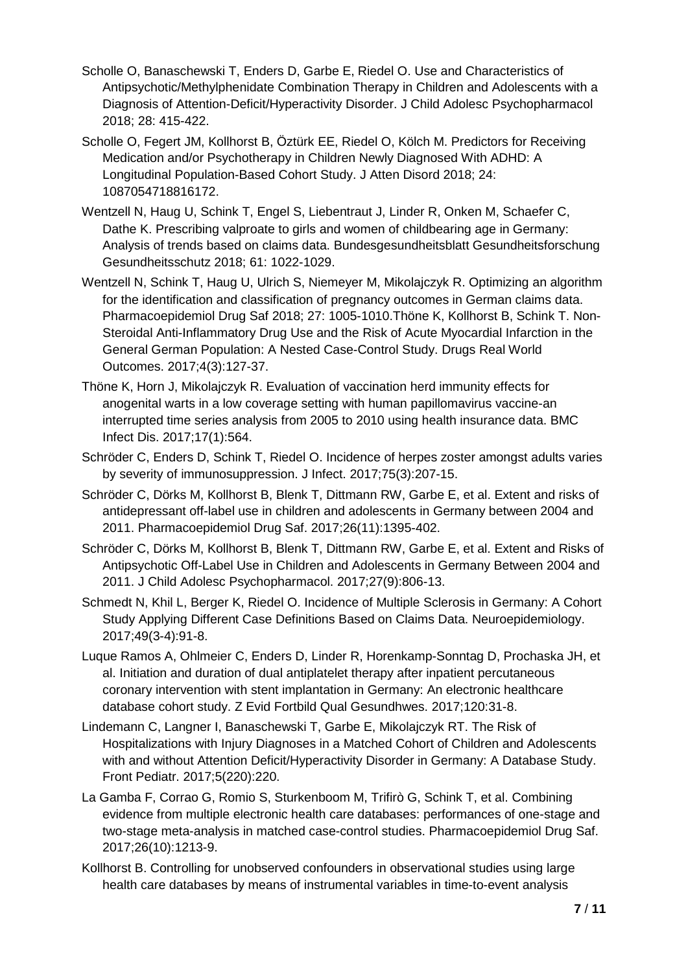- Scholle O, Banaschewski T, Enders D, Garbe E, Riedel O. Use and Characteristics of Antipsychotic/Methylphenidate Combination Therapy in Children and Adolescents with a Diagnosis of Attention-Deficit/Hyperactivity Disorder. J Child Adolesc Psychopharmacol 2018; 28: 415-422.
- Scholle O, Fegert JM, Kollhorst B, Öztürk EE, Riedel O, Kölch M. Predictors for Receiving Medication and/or Psychotherapy in Children Newly Diagnosed With ADHD: A Longitudinal Population-Based Cohort Study. J Atten Disord 2018; 24: 1087054718816172.
- Wentzell N, Haug U, Schink T, Engel S, Liebentraut J, Linder R, Onken M, Schaefer C, Dathe K. Prescribing valproate to girls and women of childbearing age in Germany: Analysis of trends based on claims data. Bundesgesundheitsblatt Gesundheitsforschung Gesundheitsschutz 2018; 61: 1022-1029.
- Wentzell N, Schink T, Haug U, Ulrich S, Niemeyer M, Mikolajczyk R. Optimizing an algorithm for the identification and classification of pregnancy outcomes in German claims data. Pharmacoepidemiol Drug Saf 2018; 27: 1005-1010.Thöne K, Kollhorst B, Schink T. Non-Steroidal Anti-Inflammatory Drug Use and the Risk of Acute Myocardial Infarction in the General German Population: A Nested Case-Control Study. Drugs Real World Outcomes. 2017;4(3):127-37.
- Thöne K, Horn J, Mikolajczyk R. Evaluation of vaccination herd immunity effects for anogenital warts in a low coverage setting with human papillomavirus vaccine-an interrupted time series analysis from 2005 to 2010 using health insurance data. BMC Infect Dis. 2017;17(1):564.
- Schröder C, Enders D, Schink T, Riedel O. Incidence of herpes zoster amongst adults varies by severity of immunosuppression. J Infect. 2017;75(3):207-15.
- Schröder C, Dörks M, Kollhorst B, Blenk T, Dittmann RW, Garbe E, et al. Extent and risks of antidepressant off-label use in children and adolescents in Germany between 2004 and 2011. Pharmacoepidemiol Drug Saf. 2017;26(11):1395-402.
- Schröder C, Dörks M, Kollhorst B, Blenk T, Dittmann RW, Garbe E, et al. Extent and Risks of Antipsychotic Off-Label Use in Children and Adolescents in Germany Between 2004 and 2011. J Child Adolesc Psychopharmacol. 2017;27(9):806-13.
- Schmedt N, Khil L, Berger K, Riedel O. Incidence of Multiple Sclerosis in Germany: A Cohort Study Applying Different Case Definitions Based on Claims Data. Neuroepidemiology. 2017;49(3-4):91-8.
- Luque Ramos A, Ohlmeier C, Enders D, Linder R, Horenkamp-Sonntag D, Prochaska JH, et al. Initiation and duration of dual antiplatelet therapy after inpatient percutaneous coronary intervention with stent implantation in Germany: An electronic healthcare database cohort study. Z Evid Fortbild Qual Gesundhwes. 2017;120:31-8.
- Lindemann C, Langner I, Banaschewski T, Garbe E, Mikolajczyk RT. The Risk of Hospitalizations with Injury Diagnoses in a Matched Cohort of Children and Adolescents with and without Attention Deficit/Hyperactivity Disorder in Germany: A Database Study. Front Pediatr. 2017;5(220):220.
- La Gamba F, Corrao G, Romio S, Sturkenboom M, Trifirò G, Schink T, et al. Combining evidence from multiple electronic health care databases: performances of one-stage and two-stage meta-analysis in matched case-control studies. Pharmacoepidemiol Drug Saf. 2017;26(10):1213-9.
- Kollhorst B. Controlling for unobserved confounders in observational studies using large health care databases by means of instrumental variables in time-to-event analysis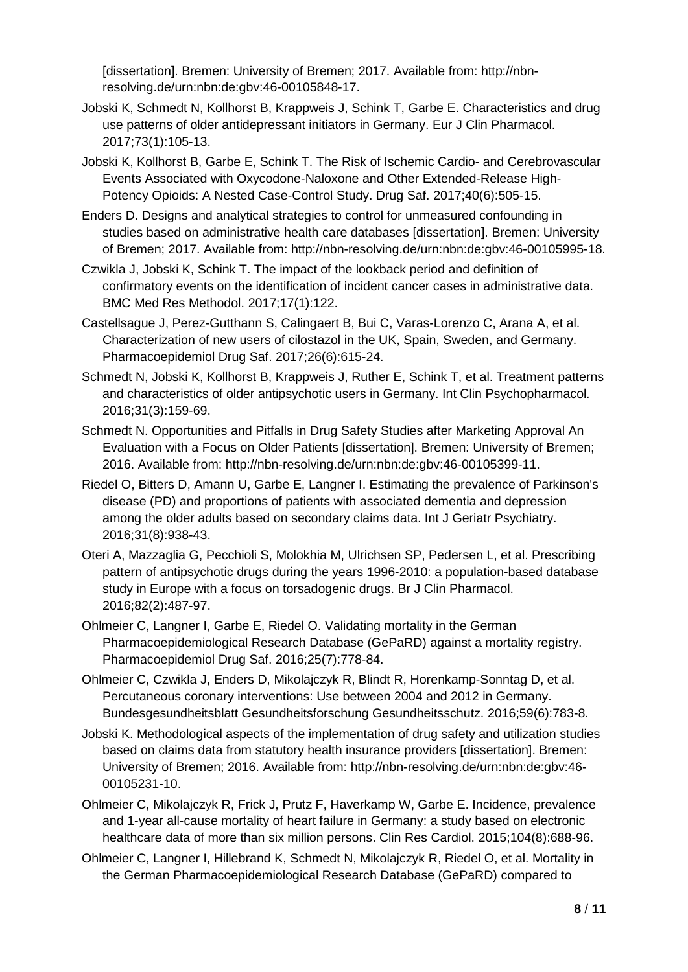[dissertation]. Bremen: University of Bremen; 2017. Available from: http://nbnresolving.de/urn:nbn:de:gbv:46-00105848-17.

- Jobski K, Schmedt N, Kollhorst B, Krappweis J, Schink T, Garbe E. Characteristics and drug use patterns of older antidepressant initiators in Germany. Eur J Clin Pharmacol. 2017;73(1):105-13.
- Jobski K, Kollhorst B, Garbe E, Schink T. The Risk of Ischemic Cardio- and Cerebrovascular Events Associated with Oxycodone-Naloxone and Other Extended-Release High-Potency Opioids: A Nested Case-Control Study. Drug Saf. 2017;40(6):505-15.
- Enders D. Designs and analytical strategies to control for unmeasured confounding in studies based on administrative health care databases [dissertation]. Bremen: University of Bremen; 2017. Available from: http://nbn-resolving.de/urn:nbn:de:gbv:46-00105995-18.
- Czwikla J, Jobski K, Schink T. The impact of the lookback period and definition of confirmatory events on the identification of incident cancer cases in administrative data. BMC Med Res Methodol. 2017;17(1):122.
- Castellsague J, Perez-Gutthann S, Calingaert B, Bui C, Varas-Lorenzo C, Arana A, et al. Characterization of new users of cilostazol in the UK, Spain, Sweden, and Germany. Pharmacoepidemiol Drug Saf. 2017;26(6):615-24.
- Schmedt N, Jobski K, Kollhorst B, Krappweis J, Ruther E, Schink T, et al. Treatment patterns and characteristics of older antipsychotic users in Germany. Int Clin Psychopharmacol. 2016;31(3):159-69.
- Schmedt N. Opportunities and Pitfalls in Drug Safety Studies after Marketing Approval An Evaluation with a Focus on Older Patients [dissertation]. Bremen: University of Bremen; 2016. Available from: http://nbn-resolving.de/urn:nbn:de:gbv:46-00105399-11.
- Riedel O, Bitters D, Amann U, Garbe E, Langner I. Estimating the prevalence of Parkinson's disease (PD) and proportions of patients with associated dementia and depression among the older adults based on secondary claims data. Int J Geriatr Psychiatry. 2016;31(8):938-43.
- Oteri A, Mazzaglia G, Pecchioli S, Molokhia M, Ulrichsen SP, Pedersen L, et al. Prescribing pattern of antipsychotic drugs during the years 1996-2010: a population-based database study in Europe with a focus on torsadogenic drugs. Br J Clin Pharmacol. 2016;82(2):487-97.
- Ohlmeier C, Langner I, Garbe E, Riedel O. Validating mortality in the German Pharmacoepidemiological Research Database (GePaRD) against a mortality registry. Pharmacoepidemiol Drug Saf. 2016;25(7):778-84.
- Ohlmeier C, Czwikla J, Enders D, Mikolajczyk R, Blindt R, Horenkamp-Sonntag D, et al. Percutaneous coronary interventions: Use between 2004 and 2012 in Germany. Bundesgesundheitsblatt Gesundheitsforschung Gesundheitsschutz. 2016;59(6):783-8.
- Jobski K. Methodological aspects of the implementation of drug safety and utilization studies based on claims data from statutory health insurance providers [dissertation]. Bremen: University of Bremen; 2016. Available from: http://nbn-resolving.de/urn:nbn:de:gbv:46- 00105231-10.
- Ohlmeier C, Mikolajczyk R, Frick J, Prutz F, Haverkamp W, Garbe E. Incidence, prevalence and 1-year all-cause mortality of heart failure in Germany: a study based on electronic healthcare data of more than six million persons. Clin Res Cardiol. 2015;104(8):688-96.
- Ohlmeier C, Langner I, Hillebrand K, Schmedt N, Mikolajczyk R, Riedel O, et al. Mortality in the German Pharmacoepidemiological Research Database (GePaRD) compared to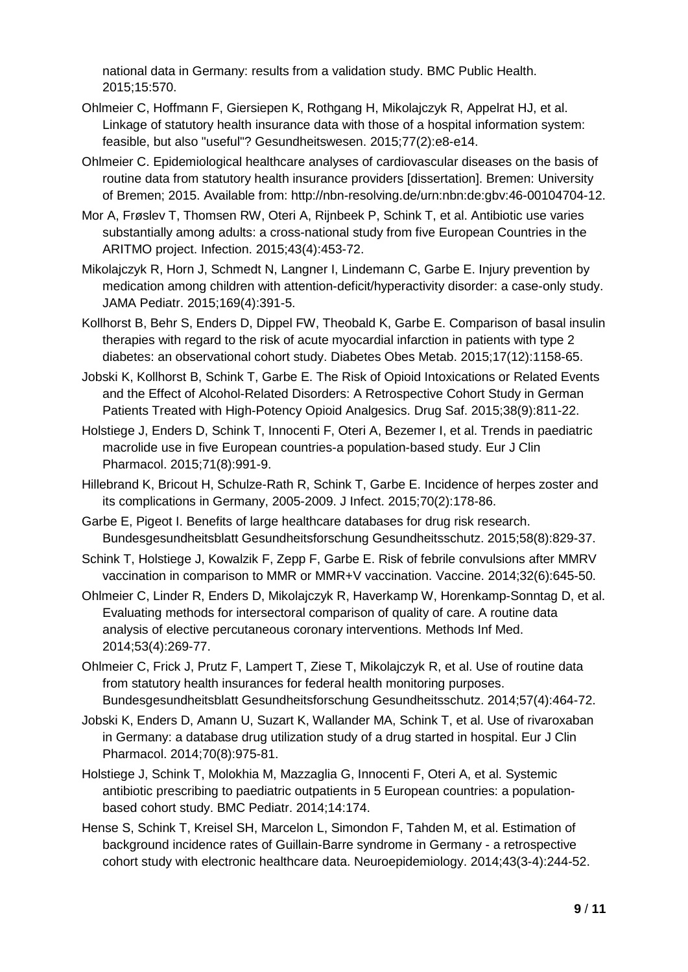national data in Germany: results from a validation study. BMC Public Health. 2015;15:570.

- Ohlmeier C, Hoffmann F, Giersiepen K, Rothgang H, Mikolajczyk R, Appelrat HJ, et al. Linkage of statutory health insurance data with those of a hospital information system: feasible, but also "useful"? Gesundheitswesen. 2015;77(2):e8-e14.
- Ohlmeier C. Epidemiological healthcare analyses of cardiovascular diseases on the basis of routine data from statutory health insurance providers [dissertation]. Bremen: University of Bremen; 2015. Available from: http://nbn-resolving.de/urn:nbn:de:gbv:46-00104704-12.
- Mor A, Frøslev T, Thomsen RW, Oteri A, Rijnbeek P, Schink T, et al. Antibiotic use varies substantially among adults: a cross-national study from five European Countries in the ARITMO project. Infection. 2015;43(4):453-72.
- Mikolajczyk R, Horn J, Schmedt N, Langner I, Lindemann C, Garbe E. Injury prevention by medication among children with attention-deficit/hyperactivity disorder: a case-only study. JAMA Pediatr. 2015;169(4):391-5.
- Kollhorst B, Behr S, Enders D, Dippel FW, Theobald K, Garbe E. Comparison of basal insulin therapies with regard to the risk of acute myocardial infarction in patients with type 2 diabetes: an observational cohort study. Diabetes Obes Metab. 2015;17(12):1158-65.
- Jobski K, Kollhorst B, Schink T, Garbe E. The Risk of Opioid Intoxications or Related Events and the Effect of Alcohol-Related Disorders: A Retrospective Cohort Study in German Patients Treated with High-Potency Opioid Analgesics. Drug Saf. 2015;38(9):811-22.
- Holstiege J, Enders D, Schink T, Innocenti F, Oteri A, Bezemer I, et al. Trends in paediatric macrolide use in five European countries-a population-based study. Eur J Clin Pharmacol. 2015;71(8):991-9.
- Hillebrand K, Bricout H, Schulze-Rath R, Schink T, Garbe E. Incidence of herpes zoster and its complications in Germany, 2005-2009. J Infect. 2015;70(2):178-86.
- Garbe E, Pigeot I. Benefits of large healthcare databases for drug risk research. Bundesgesundheitsblatt Gesundheitsforschung Gesundheitsschutz. 2015;58(8):829-37.
- Schink T, Holstiege J, Kowalzik F, Zepp F, Garbe E. Risk of febrile convulsions after MMRV vaccination in comparison to MMR or MMR+V vaccination. Vaccine. 2014;32(6):645-50.
- Ohlmeier C, Linder R, Enders D, Mikolajczyk R, Haverkamp W, Horenkamp-Sonntag D, et al. Evaluating methods for intersectoral comparison of quality of care. A routine data analysis of elective percutaneous coronary interventions. Methods Inf Med. 2014;53(4):269-77.
- Ohlmeier C, Frick J, Prutz F, Lampert T, Ziese T, Mikolajczyk R, et al. Use of routine data from statutory health insurances for federal health monitoring purposes. Bundesgesundheitsblatt Gesundheitsforschung Gesundheitsschutz. 2014;57(4):464-72.
- Jobski K, Enders D, Amann U, Suzart K, Wallander MA, Schink T, et al. Use of rivaroxaban in Germany: a database drug utilization study of a drug started in hospital. Eur J Clin Pharmacol. 2014;70(8):975-81.
- Holstiege J, Schink T, Molokhia M, Mazzaglia G, Innocenti F, Oteri A, et al. Systemic antibiotic prescribing to paediatric outpatients in 5 European countries: a populationbased cohort study. BMC Pediatr. 2014;14:174.
- Hense S, Schink T, Kreisel SH, Marcelon L, Simondon F, Tahden M, et al. Estimation of background incidence rates of Guillain-Barre syndrome in Germany - a retrospective cohort study with electronic healthcare data. Neuroepidemiology. 2014;43(3-4):244-52.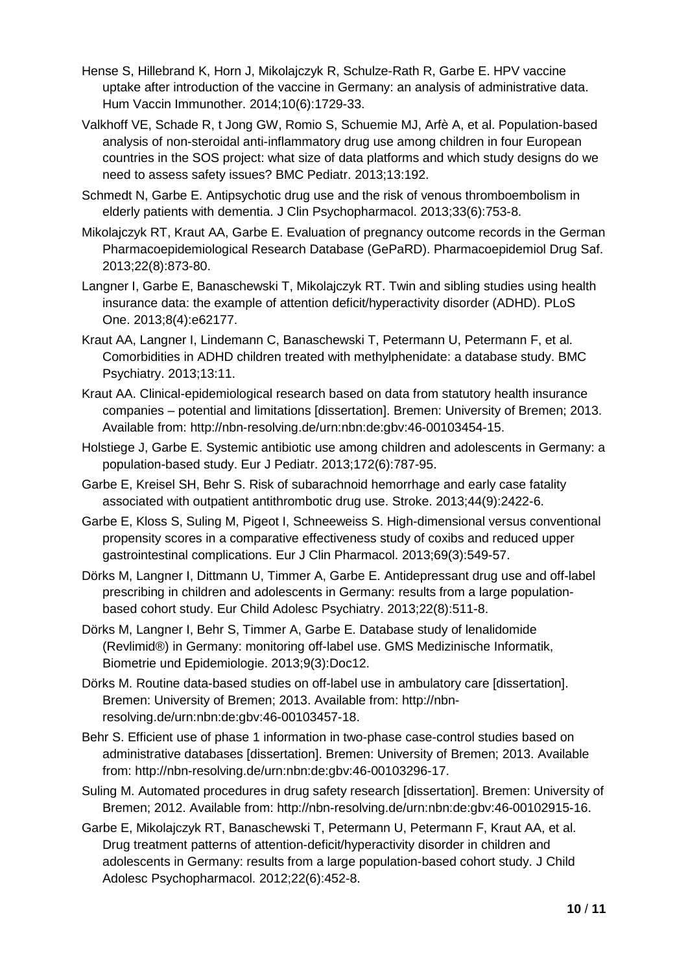- Hense S, Hillebrand K, Horn J, Mikolajczyk R, Schulze-Rath R, Garbe E. HPV vaccine uptake after introduction of the vaccine in Germany: an analysis of administrative data. Hum Vaccin Immunother. 2014;10(6):1729-33.
- Valkhoff VE, Schade R, t Jong GW, Romio S, Schuemie MJ, Arfè A, et al. Population-based analysis of non-steroidal anti-inflammatory drug use among children in four European countries in the SOS project: what size of data platforms and which study designs do we need to assess safety issues? BMC Pediatr. 2013;13:192.
- Schmedt N, Garbe E. Antipsychotic drug use and the risk of venous thromboembolism in elderly patients with dementia. J Clin Psychopharmacol. 2013;33(6):753-8.
- Mikolajczyk RT, Kraut AA, Garbe E. Evaluation of pregnancy outcome records in the German Pharmacoepidemiological Research Database (GePaRD). Pharmacoepidemiol Drug Saf. 2013;22(8):873-80.
- Langner I, Garbe E, Banaschewski T, Mikolajczyk RT. Twin and sibling studies using health insurance data: the example of attention deficit/hyperactivity disorder (ADHD). PLoS One. 2013;8(4):e62177.
- Kraut AA, Langner I, Lindemann C, Banaschewski T, Petermann U, Petermann F, et al. Comorbidities in ADHD children treated with methylphenidate: a database study. BMC Psychiatry. 2013;13:11.
- Kraut AA. Clinical-epidemiological research based on data from statutory health insurance companies – potential and limitations [dissertation]. Bremen: University of Bremen; 2013. Available from: http://nbn-resolving.de/urn:nbn:de:gbv:46-00103454-15.
- Holstiege J, Garbe E. Systemic antibiotic use among children and adolescents in Germany: a population-based study. Eur J Pediatr. 2013;172(6):787-95.
- Garbe E, Kreisel SH, Behr S. Risk of subarachnoid hemorrhage and early case fatality associated with outpatient antithrombotic drug use. Stroke. 2013;44(9):2422-6.
- Garbe E, Kloss S, Suling M, Pigeot I, Schneeweiss S. High-dimensional versus conventional propensity scores in a comparative effectiveness study of coxibs and reduced upper gastrointestinal complications. Eur J Clin Pharmacol. 2013;69(3):549-57.
- Dörks M, Langner I, Dittmann U, Timmer A, Garbe E. Antidepressant drug use and off-label prescribing in children and adolescents in Germany: results from a large populationbased cohort study. Eur Child Adolesc Psychiatry. 2013;22(8):511-8.
- Dörks M, Langner I, Behr S, Timmer A, Garbe E. Database study of lenalidomide (Revlimid®) in Germany: monitoring off-label use. GMS Medizinische Informatik, Biometrie und Epidemiologie. 2013;9(3):Doc12.
- Dörks M. Routine data-based studies on off-label use in ambulatory care [dissertation]. Bremen: University of Bremen; 2013. Available from: http://nbnresolving.de/urn:nbn:de:gbv:46-00103457-18.
- Behr S. Efficient use of phase 1 information in two-phase case-control studies based on administrative databases [dissertation]. Bremen: University of Bremen; 2013. Available from: http://nbn-resolving.de/urn:nbn:de:gbv:46-00103296-17.
- Suling M. Automated procedures in drug safety research [dissertation]. Bremen: University of Bremen; 2012. Available from: http://nbn-resolving.de/urn:nbn:de:gbv:46-00102915-16.
- Garbe E, Mikolajczyk RT, Banaschewski T, Petermann U, Petermann F, Kraut AA, et al. Drug treatment patterns of attention-deficit/hyperactivity disorder in children and adolescents in Germany: results from a large population-based cohort study. J Child Adolesc Psychopharmacol. 2012;22(6):452-8.